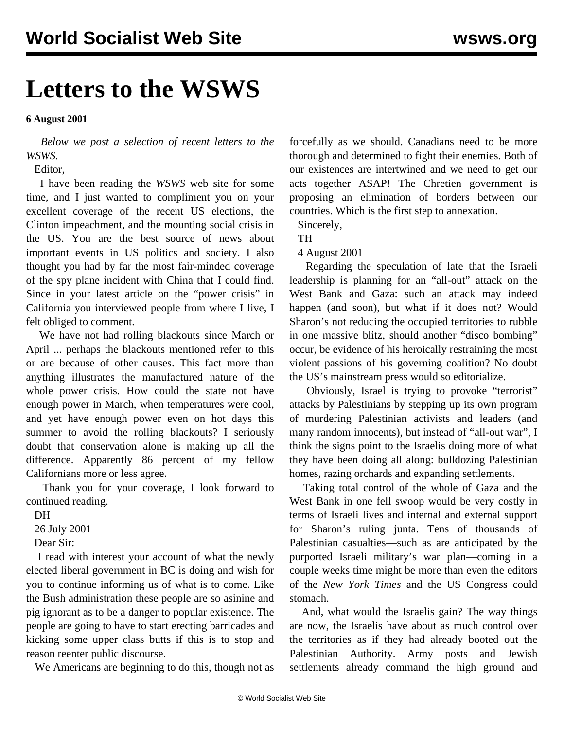## **Letters to the WSWS**

**6 August 2001**

 *Below we post a selection of recent letters to the WSWS.*

Editor,

 I have been reading the *WSWS* web site for some time, and I just wanted to compliment you on your excellent coverage of the recent US elections, the Clinton impeachment, and the mounting social crisis in the US. You are the best source of news about important events in US politics and society. I also thought you had by far the most fair-minded coverage of the spy plane incident with China that I could find. Since in your latest article on the "power crisis" in California you interviewed people from where I live, I felt obliged to comment.

 We have not had rolling blackouts since March or April ... perhaps the blackouts mentioned refer to this or are because of other causes. This fact more than anything illustrates the manufactured nature of the whole power crisis. How could the state not have enough power in March, when temperatures were cool, and yet have enough power even on hot days this summer to avoid the rolling blackouts? I seriously doubt that conservation alone is making up all the difference. Apparently 86 percent of my fellow Californians more or less agree.

 Thank you for your coverage, I look forward to continued reading.

DH

26 July 2001

Dear Sir:

 I read with interest your account of what the newly elected liberal government in BC is doing and wish for you to continue informing us of what is to come. Like the Bush administration these people are so asinine and pig ignorant as to be a danger to popular existence. The people are going to have to start erecting barricades and kicking some upper class butts if this is to stop and reason reenter public discourse.

We Americans are beginning to do this, though not as

forcefully as we should. Canadians need to be more thorough and determined to fight their enemies. Both of our existences are intertwined and we need to get our acts together ASAP! The Chretien government is proposing an elimination of borders between our countries. Which is the first step to annexation.

Sincerely,

TH

4 August 2001

 Regarding the speculation of late that the Israeli leadership is planning for an "all-out" attack on the West Bank and Gaza: such an attack may indeed happen (and soon), but what if it does not? Would Sharon's not reducing the occupied territories to rubble in one massive blitz, should another "disco bombing" occur, be evidence of his heroically restraining the most violent passions of his governing coalition? No doubt the US's mainstream press would so editorialize.

 Obviously, Israel is trying to provoke "terrorist" attacks by Palestinians by stepping up its own program of murdering Palestinian activists and leaders (and many random innocents), but instead of "all-out war", I think the signs point to the Israelis doing more of what they have been doing all along: bulldozing Palestinian homes, razing orchards and expanding settlements.

 Taking total control of the whole of Gaza and the West Bank in one fell swoop would be very costly in terms of Israeli lives and internal and external support for Sharon's ruling junta. Tens of thousands of Palestinian casualties—such as are anticipated by the purported Israeli military's war plan—coming in a couple weeks time might be more than even the editors of the *New York Times* and the US Congress could stomach.

 And, what would the Israelis gain? The way things are now, the Israelis have about as much control over the territories as if they had already booted out the Palestinian Authority. Army posts and Jewish settlements already command the high ground and